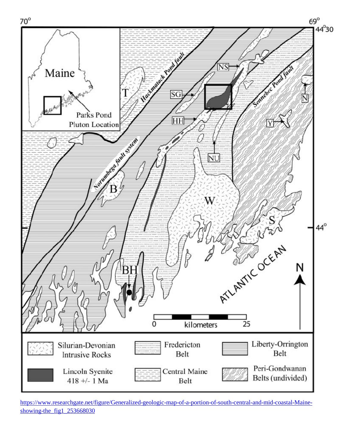

[https://www.researchgate.net/figure/Generalized-geologic-map-of-a-portion-of-south-central-and-mid-coastal-Maine](https://www.researchgate.net/figure/Generalized-geologic-map-of-a-portion-of-south-central-and-mid-coastal-Maine-showing-the_fig1_253668030)[showing-the\\_fig1\\_253668030](https://www.researchgate.net/figure/Generalized-geologic-map-of-a-portion-of-south-central-and-mid-coastal-Maine-showing-the_fig1_253668030)